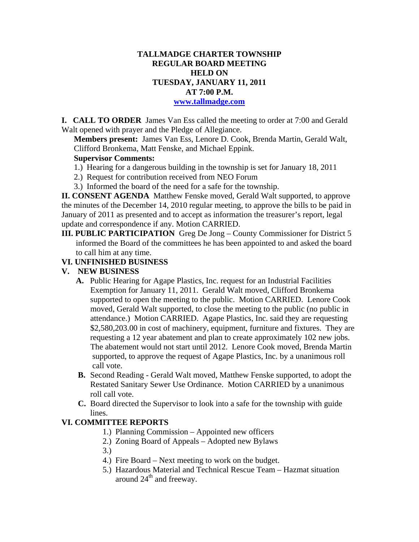# **TALLMADGE CHARTER TOWNSHIP REGULAR BOARD MEETING HELD ON TUESDAY, JANUARY 11, 2011 AT 7:00 P.M.**

#### **www.tallmadge.com**

**I. CALL TO ORDER** James Van Ess called the meeting to order at 7:00 and Gerald Walt opened with prayer and the Pledge of Allegiance.

**Members present:** James Van Ess, Lenore D. Cook, Brenda Martin, Gerald Walt, Clifford Bronkema, Matt Fenske, and Michael Eppink.

## **Supervisor Comments:**

- 1.) Hearing for a dangerous building in the township is set for January 18, 2011
- 2.) Request for contribution received from NEO Forum
- 3.) Informed the board of the need for a safe for the township.

**II. CONSENT AGENDA** Matthew Fenske moved, Gerald Walt supported, to approve the minutes of the December 14, 2010 regular meeting, to approve the bills to be paid in January of 2011 as presented and to accept as information the treasurer's report, legal update and correspondence if any. Motion CARRIED.

**III. PUBLIC PARTICIPATION** Greg De Jong – County Commissioner for District 5 informed the Board of the committees he has been appointed to and asked the board to call him at any time.

### **VI. UNFINISHED BUSINESS**

#### **V. NEW BUSINESS**

- **A.** Public Hearing for Agape Plastics, Inc. request for an Industrial Facilities Exemption for January 11, 2011. Gerald Walt moved, Clifford Bronkema supported to open the meeting to the public. Motion CARRIED. Lenore Cook moved, Gerald Walt supported, to close the meeting to the public (no public in attendance.) Motion CARRIED. Agape Plastics, Inc. said they are requesting \$2,580,203.00 in cost of machinery, equipment, furniture and fixtures. They are requesting a 12 year abatement and plan to create approximately 102 new jobs. The abatement would not start until 2012. Lenore Cook moved, Brenda Martin supported, to approve the request of Agape Plastics, Inc. by a unanimous roll call vote.
- **B.** Second Reading Gerald Walt moved, Matthew Fenske supported, to adopt the Restated Sanitary Sewer Use Ordinance. Motion CARRIED by a unanimous roll call vote.
- **C.** Board directed the Supervisor to look into a safe for the township with guide lines.

# **VI. COMMITTEE REPORTS**

- 1.) Planning Commission Appointed new officers
- 2.) Zoning Board of Appeals Adopted new Bylaws
- 3.)
- 4.) Fire Board Next meeting to work on the budget.
- 5.) Hazardous Material and Technical Rescue Team Hazmat situation around  $24<sup>th</sup>$  and freeway.